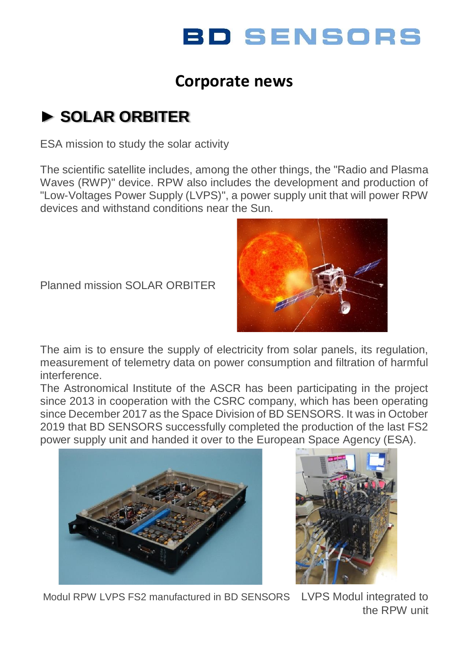# **BD SENSORS**

### **Corporate news**

## **► SOLAR ORBITER**

ESA mission to study the solar activity

The scientific satellite includes, among the other things, the "Radio and Plasma Waves (RWP)" device. RPW also includes the development and production of "Low-Voltages Power Supply (LVPS)", a power supply unit that will power RPW devices and withstand conditions near the Sun.

Planned mission SOLAR ORBITER



The aim is to ensure the supply of electricity from solar panels, its regulation, measurement of telemetry data on power consumption and filtration of harmful interference.

The Astronomical Institute of the ASCR has been participating in the project since 2013 in cooperation with the CSRC company, which has been operating since December 2017 as the Space Division of BD SENSORS. It was in October 2019 that BD SENSORS successfully completed the production of the last FS2 power supply unit and handed it over to the European Space Agency (ESA).





Modul RPW I VPS FS2 manufactured in BD SENSORS LVPS Modul integrated to the RPW unit